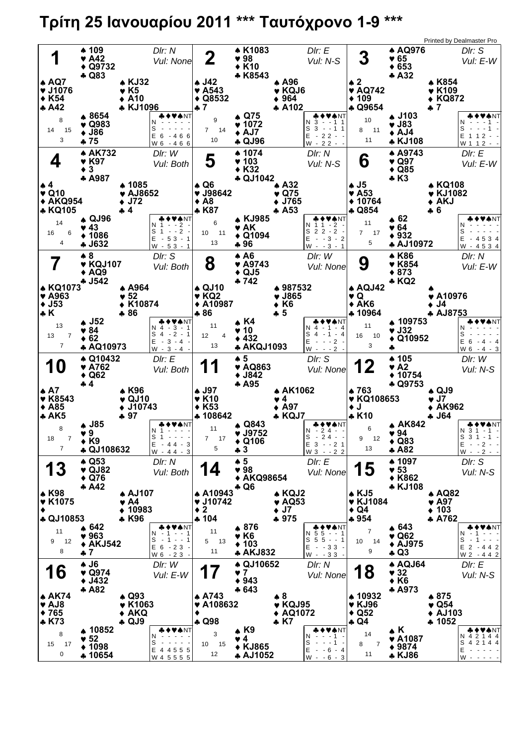## **Τρίτη 25 Ιανουαρίου 2011 \*\*\* Ταυτόχρονο 1-9 \*\*\***